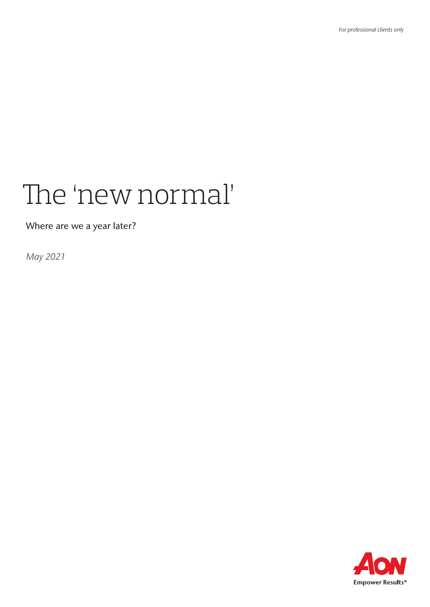# The 'new normal'

Where are we a year later?

*May 2021*

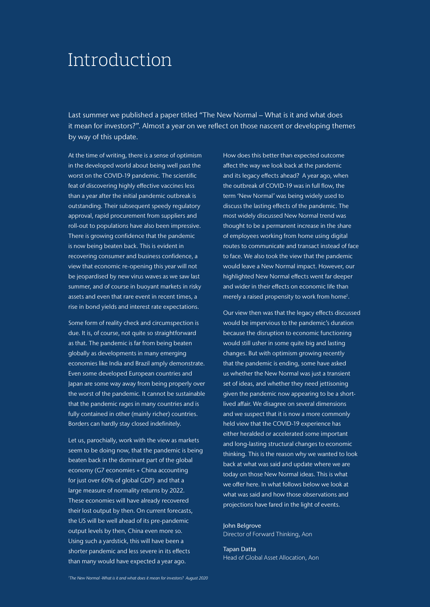### Introduction

Last summer we published a paper titled "The New Normal – What is it and what does it mean for investors?". Almost a year on we reflect on those nascent or developing themes by way of this update.

At the time of writing, there is a sense of optimism in the developed world about being well past the worst on the COVID-19 pandemic. The scientific feat of discovering highly effective vaccines less than a year after the initial pandemic outbreak is outstanding. Their subsequent speedy regulatory approval, rapid procurement from suppliers and roll-out to populations have also been impressive. There is growing confidence that the pandemic is now being beaten back. This is evident in recovering consumer and business confidence, a view that economic re-opening this year will not be jeopardised by new virus waves as we saw last summer, and of course in buoyant markets in risky assets and even that rare event in recent times, a rise in bond yields and interest rate expectations.

Some form of reality check and circumspection is due. It is, of course, not quite so straightforward as that. The pandemic is far from being beaten globally as developments in many emerging economies like India and Brazil amply demonstrate. Even some developed European countries and Japan are some way away from being properly over the worst of the pandemic. It cannot be sustainable that the pandemic rages in many countries and is fully contained in other (mainly richer) countries. Borders can hardly stay closed indefinitely.

Let us, parochially, work with the view as markets seem to be doing now, that the pandemic is being beaten back in the dominant part of the global economy (G7 economies + China accounting for just over 60% of global GDP) and that a large measure of normality returns by 2022. These economies will have already recovered their lost output by then. On current forecasts, the US will be well ahead of its pre-pandemic output levels by then, China even more so. Using such a yardstick, this will have been a shorter pandemic and less severe in its effects than many would have expected a year ago.

How does this better than expected outcome affect the way we look back at the pandemic and its legacy effects ahead? A year ago, when the outbreak of COVID-19 was in full flow, the term 'New Normal' was being widely used to discuss the lasting effects of the pandemic. The most widely discussed New Normal trend was thought to be a permanent increase in the share of employees working from home using digital routes to communicate and transact instead of face to face. We also took the view that the pandemic would leave a New Normal impact. However, our highlighted New Normal effects went far deeper and wider in their effects on economic life than merely a raised propensity to work from home<sup>1</sup>.

Our view then was that the legacy effects discussed would be impervious to the pandemic's duration because the disruption to economic functioning would still usher in some quite big and lasting changes. But with optimism growing recently that the pandemic is ending, some have asked us whether the New Normal was just a transient set of ideas, and whether they need jettisoning given the pandemic now appearing to be a shortlived affair. We disagree on several dimensions and we suspect that it is now a more commonly held view that the COVID-19 experience has either heralded or accelerated some important and long-lasting structural changes to economic thinking. This is the reason why we wanted to look back at what was said and update where we are today on those New Normal ideas. This is what we offer here. In what follows below we look at what was said and how those observations and projections have fared in the light of events.

#### John Belgrove Director of Forward Thinking, Aon

Tapan Datta Head of Global Asset Allocation, Aon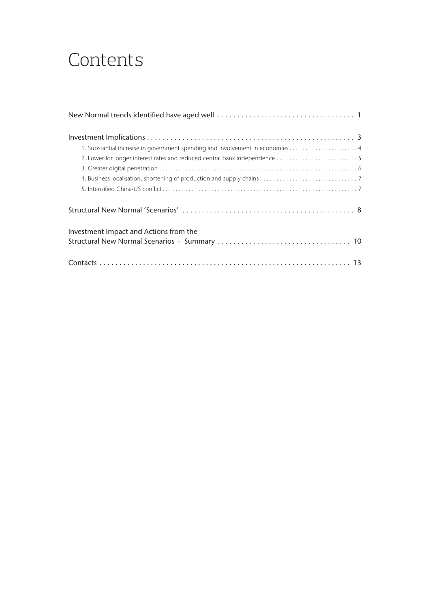### **Contents**

| 1. Substantial increase in government spending and involvement in economies 4 |
|-------------------------------------------------------------------------------|
|                                                                               |
|                                                                               |
|                                                                               |
|                                                                               |
|                                                                               |
| Investment Impact and Actions from the                                        |
|                                                                               |
|                                                                               |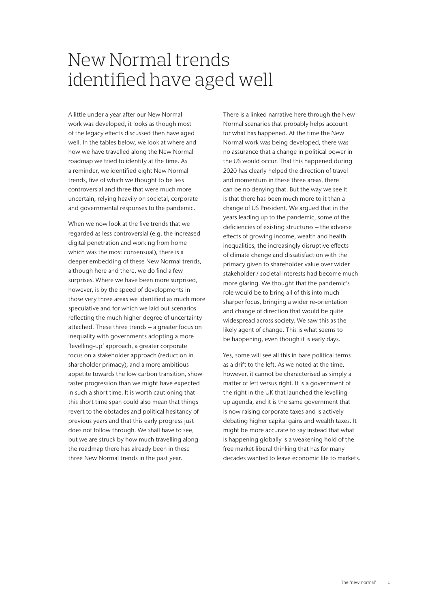### New Normal trends identified have aged well

A little under a year after our New Normal work was developed, it looks as though most of the legacy effects discussed then have aged well. In the tables below, we look at where and how we have travelled along the New Normal roadmap we tried to identify at the time. As a reminder, we identified eight New Normal trends, five of which we thought to be less controversial and three that were much more uncertain, relying heavily on societal, corporate and governmental responses to the pandemic.

When we now look at the five trends that we regarded as less controversial (e.g. the increased digital penetration and working from home which was the most consensual), there is a deeper embedding of these New Normal trends, although here and there, we do find a few surprises. Where we have been more surprised, however, is by the speed of developments in those very three areas we identified as much more speculative and for which we laid out scenarios reflecting the much higher degree of uncertainty attached. These three trends – a greater focus on inequality with governments adopting a more 'levelling-up' approach, a greater corporate focus on a stakeholder approach (reduction in shareholder primacy), and a more ambitious appetite towards the low carbon transition, show faster progression than we might have expected in such a short time. It is worth cautioning that this short time span could also mean that things revert to the obstacles and political hesitancy of previous years and that this early progress just does not follow through. We shall have to see, but we are struck by how much travelling along the roadmap there has already been in these three New Normal trends in the past year.

There is a linked narrative here through the New Normal scenarios that probably helps account for what has happened. At the time the New Normal work was being developed, there was no assurance that a change in political power in the US would occur. That this happened during 2020 has clearly helped the direction of travel and momentum in these three areas, there can be no denying that. But the way we see it is that there has been much more to it than a change of US President. We argued that in the years leading up to the pandemic, some of the deficiencies of existing structures – the adverse effects of growing income, wealth and health inequalities, the increasingly disruptive effects of climate change and dissatisfaction with the primacy given to shareholder value over wider stakeholder / societal interests had become much more glaring. We thought that the pandemic's role would be to bring all of this into much sharper focus, bringing a wider re-orientation and change of direction that would be quite widespread across society. We saw this as the likely agent of change. This is what seems to be happening, even though it is early days.

Yes, some will see all this in bare political terms as a drift to the left. As we noted at the time, however, it cannot be characterised as simply a matter of left versus right. It is a government of the right in the UK that launched the levelling up agenda, and it is the same government that is now raising corporate taxes and is actively debating higher capital gains and wealth taxes. It might be more accurate to say instead that what is happening globally is a weakening hold of the free market liberal thinking that has for many decades wanted to leave economic life to markets.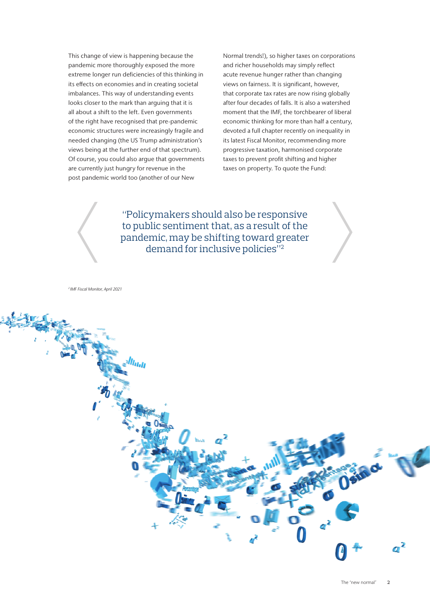This change of view is happening because the pandemic more thoroughly exposed the more extreme longer run deficiencies of this thinking in its effects on economies and in creating societal imbalances. This way of understanding events looks closer to the mark than arguing that it is all about a shift to the left. Even governments of the right have recognised that pre-pandemic economic structures were increasingly fragile and needed changing (the US Trump administration's views being at the further end of that spectrum). Of course, you could also argue that governments are currently just hungry for revenue in the post pandemic world too (another of our New

Normal trends!), so higher taxes on corporations and richer households may simply reflect acute revenue hunger rather than changing views on fairness. It is significant, however, that corporate tax rates are now rising globally after four decades of falls. It is also a watershed moment that the IMF, the torchbearer of liberal economic thinking for more than half a century, devoted a full chapter recently on inequality in its latest Fiscal Monitor, recommending more progressive taxation, harmonised corporate taxes to prevent profit shifting and higher taxes on property. To quote the Fund:

"Policymakers should also be responsive to public sentiment that, as a result of the pandemic, may be shifting toward greater demand for inclusive policies"2

*2 IMF Fiscal Monitor, April 2021*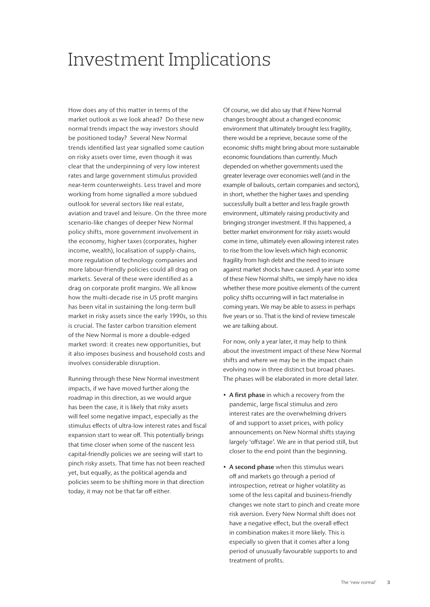# Investment Implications

How does any of this matter in terms of the market outlook as we look ahead? Do these new normal trends impact the way investors should be positioned today? Several New Normal trends identified last year signalled some caution on risky assets over time, even though it was clear that the underpinning of very low interest rates and large government stimulus provided near-term counterweights. Less travel and more working from home signalled a more subdued outlook for several sectors like real estate, aviation and travel and leisure. On the three more scenario-like changes of deeper New Normal policy shifts, more government involvement in the economy, higher taxes (corporates, higher income, wealth), localisation of supply-chains, more regulation of technology companies and more labour-friendly policies could all drag on markets. Several of these were identified as a drag on corporate profit margins. We all know how the multi-decade rise in US profit margins has been vital in sustaining the long-term bull market in risky assets since the early 1990s, so this is crucial. The faster carbon transition element of the New Normal is more a double-edged market sword: it creates new opportunities, but it also imposes business and household costs and involves considerable disruption.

Running through these New Normal investment impacts, if we have moved further along the roadmap in this direction, as we would argue has been the case, it is likely that risky assets will feel some negative impact, especially as the stimulus effects of ultra-low interest rates and fiscal expansion start to wear off. This potentially brings that time closer when some of the nascent less capital-friendly policies we are seeing will start to pinch risky assets. That time has not been reached yet, but equally, as the political agenda and policies seem to be shifting more in that direction today, it may not be that far off either.

Of course, we did also say that if New Normal changes brought about a changed economic environment that ultimately brought less fragility, there would be a reprieve, because some of the economic shifts might bring about more sustainable economic foundations than currently. Much depended on whether governments used the greater leverage over economies well (and in the example of bailouts, certain companies and sectors), in short, whether the higher taxes and spending successfully built a better and less fragile growth environment, ultimately raising productivity and bringing stronger investment. If this happened, a better market environment for risky assets would come in time, ultimately even allowing interest rates to rise from the low levels which high economic fragility from high debt and the need to insure against market shocks have caused. A year into some of these New Normal shifts, we simply have no idea whether these more positive elements of the current policy shifts occurring will in fact materialise in coming years. We may be able to assess in perhaps five years or so. That is the kind of review timescale we are talking about.

For now, only a year later, it may help to think about the investment impact of these New Normal shifts and where we may be in the impact chain evolving now in three distinct but broad phases. The phases will be elaborated in more detail later.

- A first phase in which a recovery from the pandemic, large fiscal stimulus and zero interest rates are the overwhelming drivers of and support to asset prices, with policy announcements on New Normal shifts staying largely 'offstage'. We are in that period still, but closer to the end point than the beginning.
- A second phase when this stimulus wears off and markets go through a period of introspection, retreat or higher volatility as some of the less capital and business-friendly changes we note start to pinch and create more risk aversion. Every New Normal shift does not have a negative effect, but the overall effect in combination makes it more likely. This is especially so given that it comes after a long period of unusually favourable supports to and treatment of profits.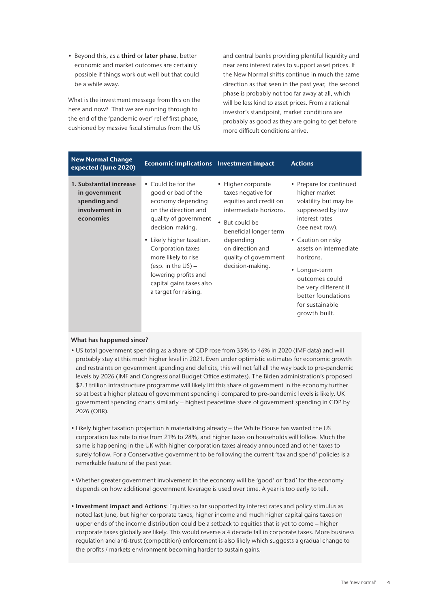• Beyond this, as a third or later phase, better economic and market outcomes are certainly possible if things work out well but that could be a while away.

What is the investment message from this on the here and now? That we are running through to the end of the 'pandemic over' relief first phase, cushioned by massive fiscal stimulus from the US

and central banks providing plentiful liquidity and near zero interest rates to support asset prices. If the New Normal shifts continue in much the same direction as that seen in the past year, the second phase is probably not too far away at all, which will be less kind to asset prices. From a rational investor's standpoint, market conditions are probably as good as they are going to get before more difficult conditions arrive.

| <b>New Normal Change</b><br>expected (June 2020)                                        | <b>Economic implications</b> Investment impact                                                                                                                                                                                                                                                                    |                                                                                                                                                                                                                        | <b>Actions</b>                                                                                                                                                                                                                                                                                                |
|-----------------------------------------------------------------------------------------|-------------------------------------------------------------------------------------------------------------------------------------------------------------------------------------------------------------------------------------------------------------------------------------------------------------------|------------------------------------------------------------------------------------------------------------------------------------------------------------------------------------------------------------------------|---------------------------------------------------------------------------------------------------------------------------------------------------------------------------------------------------------------------------------------------------------------------------------------------------------------|
| 1. Substantial increase<br>in government<br>spending and<br>involvement in<br>economies | • Could be for the<br>good or bad of the<br>economy depending<br>on the direction and<br>quality of government<br>decision-making.<br>• Likely higher taxation.<br>Corporation taxes<br>more likely to rise<br>(esp. in the $US$ ) –<br>lowering profits and<br>capital gains taxes also<br>a target for raising. | • Higher corporate<br>taxes negative for<br>equities and credit on<br>intermediate horizons.<br>• But could be<br>beneficial longer-term<br>depending<br>on direction and<br>quality of government<br>decision-making. | • Prepare for continued<br>higher market<br>volatility but may be<br>suppressed by low<br>interest rates<br>(see next row).<br>• Caution on risky<br>assets on intermediate<br>horizons.<br>• Longer-term<br>outcomes could<br>be very different if<br>better foundations<br>for sustainable<br>growth built. |

- US total government spending as a share of GDP rose from 35% to 46% in 2020 (IMF data) and will probably stay at this much higher level in 2021. Even under optimistic estimates for economic growth and restraints on government spending and deficits, this will not fall all the way back to pre-pandemic levels by 2026 (IMF and Congressional Budget Office estimates). The Biden administration's proposed \$2.3 trillion infrastructure programme will likely lift this share of government in the economy further so at best a higher plateau of government spending i compared to pre-pandemic levels is likely. UK government spending charts similarly – highest peacetime share of government spending in GDP by 2026 (OBR).
- Likely higher taxation projection is materialising already the White House has wanted the US corporation tax rate to rise from 21% to 28%, and higher taxes on households will follow. Much the same is happening in the UK with higher corporation taxes already announced and other taxes to surely follow. For a Conservative government to be following the current 'tax and spend' policies is a remarkable feature of the past year.
- Whether greater government involvement in the economy will be 'good' or 'bad' for the economy depends on how additional government leverage is used over time. A year is too early to tell.
- Investment impact and Actions: Equities so far supported by interest rates and policy stimulus as noted last June, but higher corporate taxes, higher income and much higher capital gains taxes on upper ends of the income distribution could be a setback to equities that is yet to come – higher corporate taxes globally are likely. This would reverse a 4 decade fall in corporate taxes. More business regulation and anti-trust (competition) enforcement is also likely which suggests a gradual change to the profits / markets environment becoming harder to sustain gains.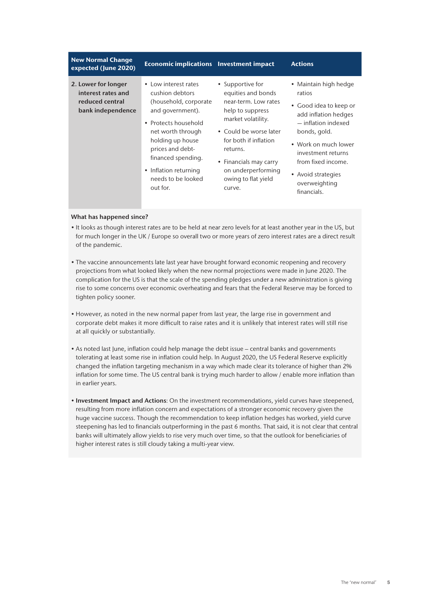| <b>New Normal Change</b><br>expected (June 2020)                                  | <b>Economic implications</b> Investment impact                                                                                                                                                                                                                        |                                                                                                                                                                                                                                                          | <b>Actions</b>                                                                                                                                                                                                                                     |
|-----------------------------------------------------------------------------------|-----------------------------------------------------------------------------------------------------------------------------------------------------------------------------------------------------------------------------------------------------------------------|----------------------------------------------------------------------------------------------------------------------------------------------------------------------------------------------------------------------------------------------------------|----------------------------------------------------------------------------------------------------------------------------------------------------------------------------------------------------------------------------------------------------|
| 2. Lower for longer<br>interest rates and<br>reduced central<br>bank independence | • Low interest rates<br>cushion debtors<br>(household, corporate<br>and government).<br>• Protects household<br>net worth through<br>holding up house<br>prices and debt-<br>financed spending.<br>Inflation returning<br>$\bullet$<br>needs to be looked<br>out for. | • Supportive for<br>equities and bonds<br>near-term. Low rates<br>help to suppress<br>market volatility.<br>• Could be worse later<br>for both if inflation<br>returns.<br>• Financials may carry<br>on underperforming<br>owing to flat yield<br>curve. | • Maintain high hedge<br>ratios<br>• Good idea to keep or<br>add inflation hedges<br>- inflation indexed<br>bonds, gold.<br>• Work on much lower<br>investment returns<br>from fixed income.<br>• Avoid strategies<br>overweighting<br>financials. |

- It looks as though interest rates are to be held at near zero levels for at least another year in the US, but for much longer in the UK / Europe so overall two or more years of zero interest rates are a direct result of the pandemic.
- The vaccine announcements late last year have brought forward economic reopening and recovery projections from what looked likely when the new normal projections were made in June 2020. The complication for the US is that the scale of the spending pledges under a new administration is giving rise to some concerns over economic overheating and fears that the Federal Reserve may be forced to tighten policy sooner.
- However, as noted in the new normal paper from last year, the large rise in government and corporate debt makes it more difficult to raise rates and it is unlikely that interest rates will still rise at all quickly or substantially.
- As noted last June, inflation could help manage the debt issue central banks and governments tolerating at least some rise in inflation could help. In August 2020, the US Federal Reserve explicitly changed the inflation targeting mechanism in a way which made clear its tolerance of higher than 2% inflation for some time. The US central bank is trying much harder to allow / enable more inflation than in earlier years.
- Investment Impact and Actions: On the investment recommendations, vield curves have steepened, resulting from more inflation concern and expectations of a stronger economic recovery given the huge vaccine success. Though the recommendation to keep inflation hedges has worked, yield curve steepening has led to financials outperforming in the past 6 months. That said, it is not clear that central banks will ultimately allow yields to rise very much over time, so that the outlook for beneficiaries of higher interest rates is still cloudy taking a multi-year view.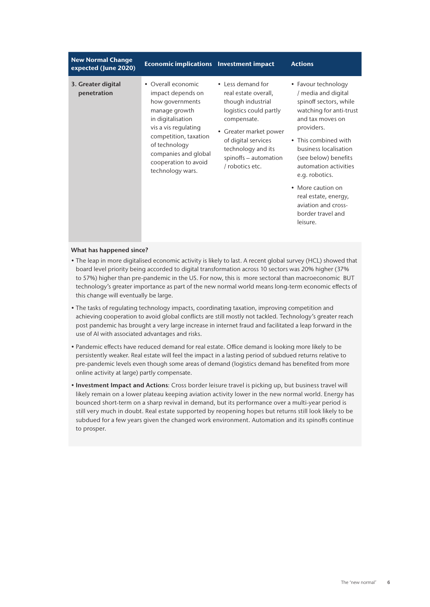| <b>New Normal Change</b><br>expected (June 2020) | <b>Economic implications</b> Investment impact                                                                                                                                                                                         |                                                                                                                                                                                                                            | <b>Actions</b>                                                                                                                                                                                                                                                                                                                                             |
|--------------------------------------------------|----------------------------------------------------------------------------------------------------------------------------------------------------------------------------------------------------------------------------------------|----------------------------------------------------------------------------------------------------------------------------------------------------------------------------------------------------------------------------|------------------------------------------------------------------------------------------------------------------------------------------------------------------------------------------------------------------------------------------------------------------------------------------------------------------------------------------------------------|
| 3. Greater digital<br>penetration                | • Overall economic<br>impact depends on<br>how governments<br>manage growth<br>in digitalisation<br>vis a vis regulating<br>competition, taxation<br>of technology<br>companies and global<br>cooperation to avoid<br>technology wars. | • Less demand for<br>real estate overall,<br>though industrial<br>logistics could partly<br>compensate.<br>• Greater market power<br>of digital services<br>technology and its<br>spinoffs - automation<br>/ robotics etc. | • Favour technology<br>/ media and digital<br>spinoff sectors, while<br>watching for anti-trust<br>and tax moves on<br>providers.<br>• This combined with<br>business localisation<br>(see below) benefits<br>automation activities<br>e.g. robotics.<br>• More caution on<br>real estate, energy,<br>aviation and cross-<br>border travel and<br>leisure. |
|                                                  |                                                                                                                                                                                                                                        |                                                                                                                                                                                                                            |                                                                                                                                                                                                                                                                                                                                                            |

- The leap in more digitalised economic activity is likely to last. A recent global survey (HCL) showed that board level priority being accorded to digital transformation across 10 sectors was 20% higher (37% to 57%) higher than pre-pandemic in the US. For now, this is more sectoral than macroeconomic BUT technology's greater importance as part of the new normal world means long-term economic effects of this change will eventually be large.
- The tasks of regulating technology impacts, coordinating taxation, improving competition and achieving cooperation to avoid global conflicts are still mostly not tackled. Technology's greater reach post pandemic has brought a very large increase in internet fraud and facilitated a leap forward in the use of AI with associated advantages and risks.
- Pandemic effects have reduced demand for real estate. Office demand is looking more likely to be persistently weaker. Real estate will feel the impact in a lasting period of subdued returns relative to pre-pandemic levels even though some areas of demand (logistics demand has benefited from more online activity at large) partly compensate.
- Investment Impact and Actions: Cross border leisure travel is picking up, but business travel will likely remain on a lower plateau keeping aviation activity lower in the new normal world. Energy has bounced short-term on a sharp revival in demand, but its performance over a multi-year period is still very much in doubt. Real estate supported by reopening hopes but returns still look likely to be subdued for a few years given the changed work environment. Automation and its spinoffs continue to prosper.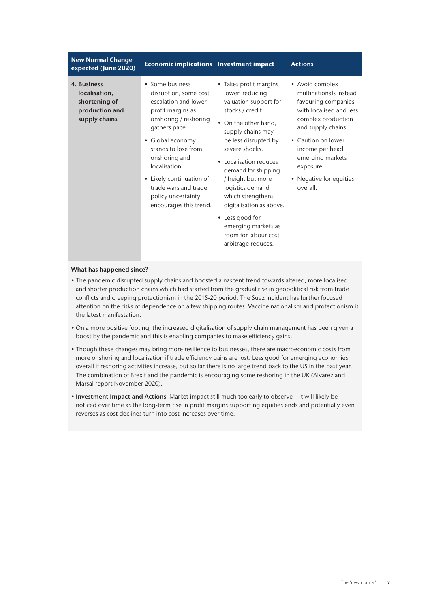| <b>New Normal Change</b><br><b>Economic implications</b> Investment impact<br>expected (June 2020)                                                                                                                                                                                                                                                                                                   |                                                                                                                                                                                                                                                                                                                                                                                                                   | <b>Actions</b>                                                                                                                                                                                                                                           |
|------------------------------------------------------------------------------------------------------------------------------------------------------------------------------------------------------------------------------------------------------------------------------------------------------------------------------------------------------------------------------------------------------|-------------------------------------------------------------------------------------------------------------------------------------------------------------------------------------------------------------------------------------------------------------------------------------------------------------------------------------------------------------------------------------------------------------------|----------------------------------------------------------------------------------------------------------------------------------------------------------------------------------------------------------------------------------------------------------|
| • Some business<br>4. Business<br>localisation,<br>disruption, some cost<br>escalation and lower<br>shortening of<br>production and<br>profit margins as<br>supply chains<br>onshoring / reshoring<br>gathers pace.<br>• Global economy<br>stands to lose from<br>onshoring and<br>localisation.<br>• Likely continuation of<br>trade wars and trade<br>policy uncertainty<br>encourages this trend. | • Takes profit margins<br>lower, reducing<br>valuation support for<br>stocks / credit.<br>• On the other hand,<br>supply chains may<br>be less disrupted by<br>severe shocks.<br>• Localisation reduces<br>demand for shipping<br>/ freight but more<br>logistics demand<br>which strengthens<br>digitalisation as above.<br>• Less good for<br>emerging markets as<br>room for labour cost<br>arbitrage reduces. | • Avoid complex<br>multinationals instead<br>favouring companies<br>with localised and less<br>complex production<br>and supply chains.<br>• Caution on lower<br>income per head<br>emerging markets<br>exposure.<br>• Negative for equities<br>overall. |

- The pandemic disrupted supply chains and boosted a nascent trend towards altered, more localised and shorter production chains which had started from the gradual rise in geopolitical risk from trade conflicts and creeping protectionism in the 2015-20 period. The Suez incident has further focused attention on the risks of dependence on a few shipping routes. Vaccine nationalism and protectionism is the latest manifestation.
- On a more positive footing, the increased digitalisation of supply chain management has been given a boost by the pandemic and this is enabling companies to make efficiency gains.
- Though these changes may bring more resilience to businesses, there are macroeconomic costs from more onshoring and localisation if trade efficiency gains are lost. Less good for emerging economies overall if reshoring activities increase, but so far there is no large trend back to the US in the past year. The combination of Brexit and the pandemic is encouraging some reshoring in the UK (Alvarez and Marsal report November 2020).
- Investment Impact and Actions: Market impact still much too early to observe it will likely be noticed over time as the long-term rise in profit margins supporting equities ends and potentially even reverses as cost declines turn into cost increases over time.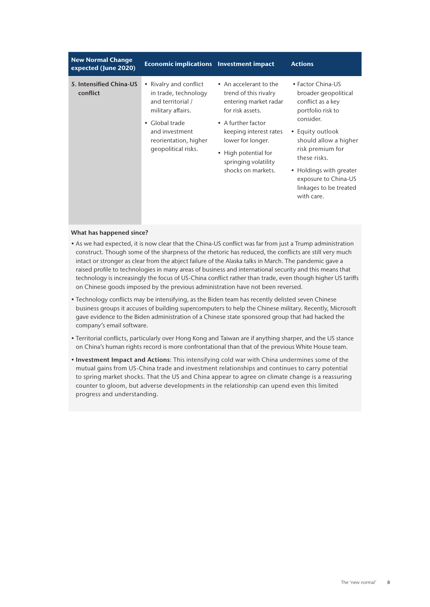| <b>New Normal Change</b><br>expected (June 2020) | <b>Economic implications</b> Investment impact                                                                                                                               |                                                                                                                                                                                                                                         | <b>Actions</b>                                                                                                                                                                                                                                                               |
|--------------------------------------------------|------------------------------------------------------------------------------------------------------------------------------------------------------------------------------|-----------------------------------------------------------------------------------------------------------------------------------------------------------------------------------------------------------------------------------------|------------------------------------------------------------------------------------------------------------------------------------------------------------------------------------------------------------------------------------------------------------------------------|
| 5. Intensified China-US<br>conflict              | • Rivalry and conflict<br>in trade, technology<br>and territorial /<br>military affairs.<br>• Global trade<br>and investment<br>reorientation, higher<br>geopolitical risks. | • An accelerant to the<br>trend of this rivalry<br>entering market radar<br>for risk assets.<br>• A further factor<br>keeping interest rates<br>lower for longer.<br>• High potential for<br>springing volatility<br>shocks on markets. | • Factor China-US<br>broader geopolitical<br>conflict as a key<br>portfolio risk to<br>consider.<br>• Equity outlook<br>should allow a higher<br>risk premium for<br>these risks.<br>• Holdings with greater<br>exposure to China-US<br>linkages to be treated<br>with care. |

- As we had expected, it is now clear that the China-US conflict was far from just a Trump administration construct. Though some of the sharpness of the rhetoric has reduced, the conflicts are still very much intact or stronger as clear from the abject failure of the Alaska talks in March. The pandemic gave a raised profile to technologies in many areas of business and international security and this means that technology is increasingly the focus of US-China conflict rather than trade, even though higher US tariffs on Chinese goods imposed by the previous administration have not been reversed.
- Technology conflicts may be intensifying, as the Biden team has recently delisted seven Chinese business groups it accuses of building supercomputers to help the Chinese military. Recently, Microsoft gave evidence to the Biden administration of a Chinese state sponsored group that had hacked the company's email software.
- Territorial conflicts, particularly over Hong Kong and Taiwan are if anything sharper, and the US stance on China's human rights record is more confrontational than that of the previous White House team.
- Investment Impact and Actions: This intensifying cold war with China undermines some of the mutual gains from US-China trade and investment relationships and continues to carry potential to spring market shocks. That the US and China appear to agree on climate change is a reassuring counter to gloom, but adverse developments in the relationship can upend even this limited progress and understanding.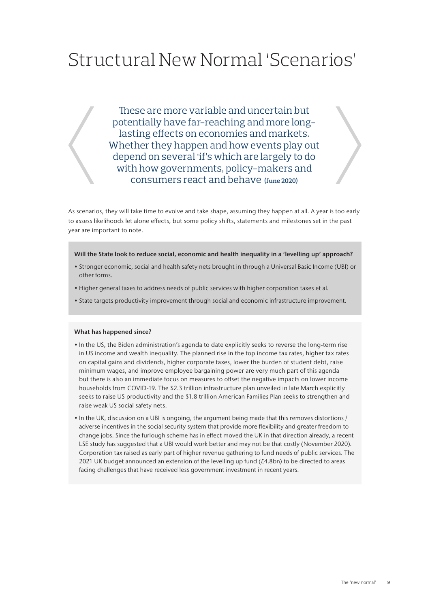# Structural New Normal 'Scenarios'

These are more variable and uncertain but potentially have far-reaching and more longlasting effects on economies and markets. Whether they happen and how events play out depend on several 'if's which are largely to do with how governments, policy-makers and consumers react and behave **(June 2020)**

As scenarios, they will take time to evolve and take shape, assuming they happen at all. A year is too early to assess likelihoods let alone effects, but some policy shifts, statements and milestones set in the past year are important to note.

#### Will the State look to reduce social, economic and health inequality in a 'levelling up' approach?

- Stronger economic, social and health safety nets brought in through a Universal Basic Income (UBI) or other forms.
- Higher general taxes to address needs of public services with higher corporation taxes et al.
- State targets productivity improvement through social and economic infrastructure improvement.

- In the US, the Biden administration's agenda to date explicitly seeks to reverse the long-term rise in US income and wealth inequality. The planned rise in the top income tax rates, higher tax rates on capital gains and dividends, higher corporate taxes, lower the burden of student debt, raise minimum wages, and improve employee bargaining power are very much part of this agenda but there is also an immediate focus on measures to offset the negative impacts on lower income households from COVID-19. The \$2.3 trillion infrastructure plan unveiled in late March explicitly seeks to raise US productivity and the \$1.8 trillion American Families Plan seeks to strengthen and raise weak US social safety nets.
- In the UK, discussion on a UBI is ongoing, the argument being made that this removes distortions / adverse incentives in the social security system that provide more flexibility and greater freedom to change jobs. Since the furlough scheme has in effect moved the UK in that direction already, a recent LSE study has suggested that a UBI would work better and may not be that costly (November 2020). Corporation tax raised as early part of higher revenue gathering to fund needs of public services. The 2021 UK budget announced an extension of the levelling up fund (£4.8bn) to be directed to areas facing challenges that have received less government investment in recent years.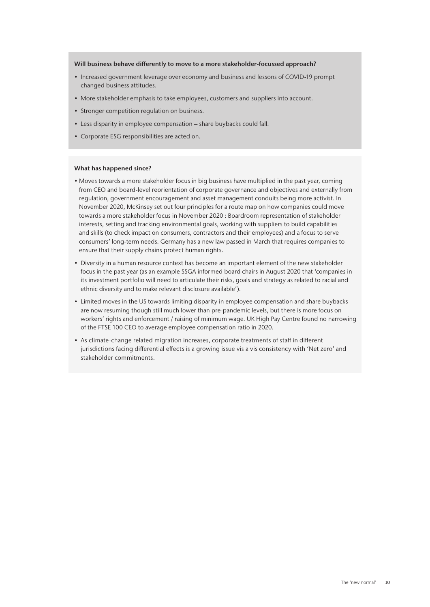#### Will business behave differently to move to a more stakeholder-focussed approach?

- Increased government leverage over economy and business and lessons of COVID-19 prompt changed business attitudes.
- More stakeholder emphasis to take employees, customers and suppliers into account.
- Stronger competition regulation on business.
- Less disparity in employee compensation share buybacks could fall.
- Corporate ESG responsibilities are acted on.

- Moves towards a more stakeholder focus in big business have multiplied in the past year, coming from CEO and board-level reorientation of corporate governance and objectives and externally from regulation, government encouragement and asset management conduits being more activist. In November 2020, McKinsey set out four principles for a route map on how companies could move towards a more stakeholder focus in November 2020 : Boardroom representation of stakeholder interests, setting and tracking environmental goals, working with suppliers to build capabilities and skills (to check impact on consumers, contractors and their employees) and a focus to serve consumers' long-term needs. Germany has a new law passed in March that requires companies to ensure that their supply chains protect human rights.
- Diversity in a human resource context has become an important element of the new stakeholder focus in the past year (as an example SSGA informed board chairs in August 2020 that 'companies in its investment portfolio will need to articulate their risks, goals and strategy as related to racial and ethnic diversity and to make relevant disclosure available').
- Limited moves in the US towards limiting disparity in employee compensation and share buybacks are now resuming though still much lower than pre-pandemic levels, but there is more focus on workers' rights and enforcement / raising of minimum wage. UK High Pay Centre found no narrowing of the FTSE 100 CEO to average employee compensation ratio in 2020.
- As climate-change related migration increases, corporate treatments of staff in different jurisdictions facing differential effects is a growing issue vis a vis consistency with 'Net zero' and stakeholder commitments.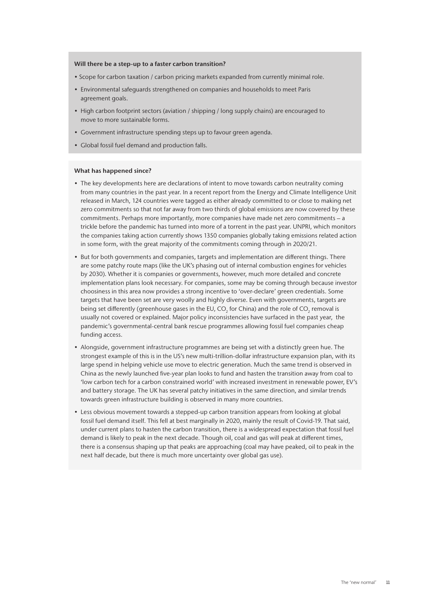#### Will there be a step-up to a faster carbon transition?

- Scope for carbon taxation / carbon pricing markets expanded from currently minimal role.
- Environmental safeguards strengthened on companies and households to meet Paris agreement goals.
- High carbon footprint sectors (aviation / shipping / long supply chains) are encouraged to move to more sustainable forms.
- Government infrastructure spending steps up to favour green agenda.
- Global fossil fuel demand and production falls.

- The key developments here are declarations of intent to move towards carbon neutrality coming from many countries in the past year. In a recent report from the Energy and Climate Intelligence Unit released in March, 124 countries were tagged as either already committed to or close to making net zero commitments so that not far away from two thirds of global emissions are now covered by these commitments. Perhaps more importantly, more companies have made net zero commitments – a trickle before the pandemic has turned into more of a torrent in the past year. UNPRI, which monitors the companies taking action currently shows 1350 companies globally taking emissions related action in some form, with the great majority of the commitments coming through in 2020/21.
- But for both governments and companies, targets and implementation are different things. There are some patchy route maps (like the UK's phasing out of internal combustion engines for vehicles by 2030). Whether it is companies or governments, however, much more detailed and concrete implementation plans look necessary. For companies, some may be coming through because investor choosiness in this area now provides a strong incentive to 'over-declare' green credentials. Some targets that have been set are very woolly and highly diverse. Even with governments, targets are being set differently (greenhouse gases in the EU, CO $_{_2}$  for China) and the role of CO $_{_2}$  removal is usually not covered or explained. Major policy inconsistencies have surfaced in the past year, the pandemic's governmental-central bank rescue programmes allowing fossil fuel companies cheap funding access.
- Alongside, government infrastructure programmes are being set with a distinctly green hue. The strongest example of this is in the US's new multi-trillion-dollar infrastructure expansion plan, with its large spend in helping vehicle use move to electric generation. Much the same trend is observed in China as the newly launched five-year plan looks to fund and hasten the transition away from coal to 'low carbon tech for a carbon constrained world' with increased investment in renewable power, EV's and battery storage. The UK has several patchy initiatives in the same direction, and similar trends towards green infrastructure building is observed in many more countries.
- Less obvious movement towards a stepped-up carbon transition appears from looking at global fossil fuel demand itself. This fell at best marginally in 2020, mainly the result of Covid-19. That said, under current plans to hasten the carbon transition, there is a widespread expectation that fossil fuel demand is likely to peak in the next decade. Though oil, coal and gas will peak at different times, there is a consensus shaping up that peaks are approaching (coal may have peaked, oil to peak in the next half decade, but there is much more uncertainty over global gas use).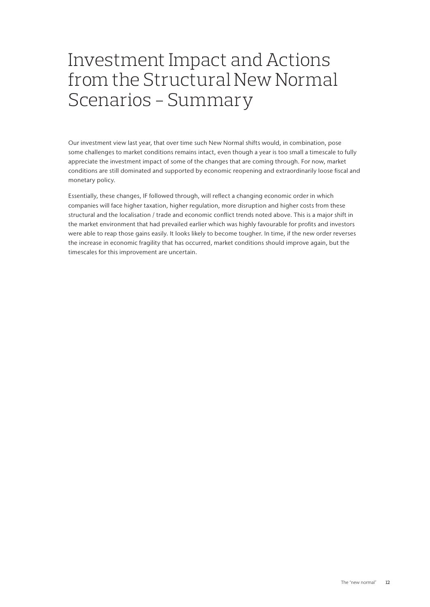### Investment Impact and Actions from the Structural New Normal Scenarios - Summary

Our investment view last year, that over time such New Normal shifts would, in combination, pose some challenges to market conditions remains intact, even though a year is too small a timescale to fully appreciate the investment impact of some of the changes that are coming through. For now, market conditions are still dominated and supported by economic reopening and extraordinarily loose fiscal and monetary policy.

Essentially, these changes, IF followed through, will reflect a changing economic order in which companies will face higher taxation, higher regulation, more disruption and higher costs from these structural and the localisation / trade and economic conflict trends noted above. This is a major shift in the market environment that had prevailed earlier which was highly favourable for profits and investors were able to reap those gains easily. It looks likely to become tougher. In time, if the new order reverses the increase in economic fragility that has occurred, market conditions should improve again, but the timescales for this improvement are uncertain.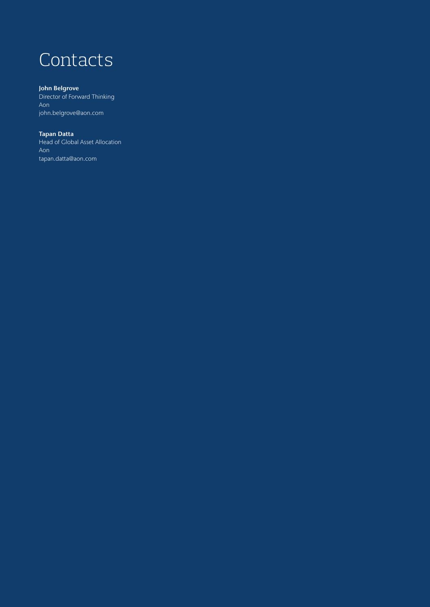# **Contacts**

#### John Belgrove

Director of Forward Thinking Aon john.belgrove@aon.com

#### Tapan Datta

Head of Global Asset Allocation Aon tapan.datta@aon.com